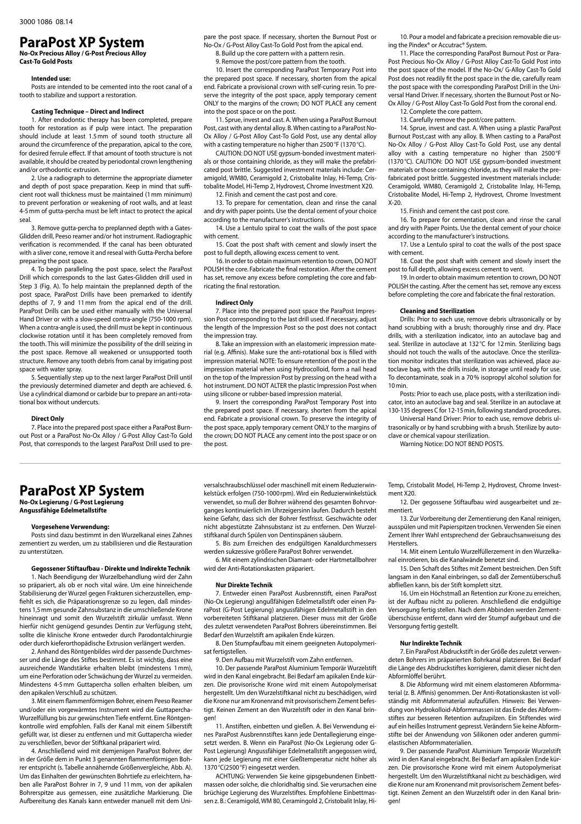## **ParaPost XP System No-Ox Precious Alloy / G-Post Precious Alloy**

**Cast-To Gold Posts** 

#### **Intended use:**

Posts are intended to be cemented into the root canal of a tooth to stabilize and support a restoration.

### **Casting Technique – Direct and Indirect**

1. After endodontic therapy has been completed, prepare tooth for restoration as if pulp were intact. The preparation should include at least 1.5mm of sound tooth structure all around the circumference of the preparation, apical to the core, for desired ferrule effect. If that amount of tooth structure is not available, it should be created by periodontal crown lengthening and/or orthodontic extrusion.

2. Use a radiograph to determine the appropriate diameter and depth of post space preparation. Keep in mind that sufficient root wall thickness must be maintained (1mm minimum) to prevent perforation or weakening of root walls, and at least 4-5mm of gutta-percha must be left intact to protect the apical seal.

3. Remove gutta-percha to preplanned depth with a Gates-Glidden drill, Peeso reamer and/or hot instrument. Radiographic verification is recommended. If the canal has been obturated with a sliver cone, remove it and reseal with Gutta-Percha before preparing the post space.

4. To begin paralleling the post space, select the ParaPost Drill which corresponds to the last Gates-Glidden drill used in Step 3 (Fig. A). To help maintain the preplanned depth of the post space, ParaPost Drills have been premarked to identify depths of 7, 9 and 11mm from the apical end of the drill. ParaPost Drills can be used either manually with the Universal Hand Driver or with a slow-speed contra-angle (750-1000 rpm). When a contra-angle is used, the drill must be kept in continuous clockwise rotation until it has been completely removed from the tooth. This will minimize the possibility of the drill seizing in the post space. Remove all weakened or unsupported tooth structure. Remove any tooth debris from canal by irrigating post space with water spray.

5. Sequentially step up to the next larger ParaPost Drill until the previously determined diameter and depth are achieved. 6. Use a cylindrical diamond or carbide bur to prepare an anti-rotational box without undercuts.

### **Direct Only**

7. Place into the prepared post space either a ParaPost Burnout Post or a ParaPost No-Ox Alloy / G-Post Alloy Cast-To Gold Post, that corresponds to the largest ParaPost Drill used to prepare the post space. If necessary, shorten the Burnout Post or No-Ox / G-Post Alloy Cast-To Gold Post from the apical end.

8. Build up the core pattern with a pattern resin.

9. Remove the post/core pattern from the tooth

10. Insert the corresponding ParaPost Temporary Post into the prepared post space. If necessary, shorten from the apical end. Fabricate a provisional crown with self-curing resin. To preserve the integrity of the post space, apply temporary cement ONLY to the margins of the crown; DO NOT PLACE any cement into the post space or on the post.

11. Sprue, invest and cast. A. When using a ParaPost Burnout Post, cast with any dental alloy. B. When casting to a ParaPost No-Ox Alloy / G-Post Alloy Cast-To Gold Post, use any dental alloy with a casting temperature no higher than 2500°F (1370°C).

CAUTION: DO NOT USE gypsum-bonded investment materials or those containing chloride, as they will make the prefabricated post brittle. Suggested investment materials include: Ceramigold, WM80, Ceramigold 2, Cristobalite Inlay, Hi-Temp, Cristobalite Model, Hi-Temp 2, Hydrovest, Chrome Investment X20. 12. Finish and cement the cast post and core.

13. To prepare for cementation, clean and rinse the canal and dry with paper points. Use the dental cement of your choice according to the manufacturer's instructions.

14. Use a Lentulo spiral to coat the walls of the post space with cement.

15. Coat the post shaft with cement and slowly insert the post to full depth, allowing excess cement to vent.

16. In order to obtain maximum retention to crown, DO NOT POLISH the core. Fabricate the final restoration. After the cement has set, remove any excess before completing the core and fabricating the final restoration.

### **Indirect Only**

7. Place into the prepared post space the ParaPost Impression Post corresponding to the last drill used. If necessary, adjust the length of the Impression Post so the post does not contact the impression tray.

8. Take an impression with an elastomeric impression material (e.g. Affinis). Make sure the anti-rotational box is filled with impression material. NOTE: To ensure retention of the post in the impression material when using Hydrocolloid, form a nail head on the top of the Impression Post by pressing on the head with a hot instrument. DO NOT ALTER the plastic Impression Post when using silicone or rubber-based impression material.

9. Insert the corresponding ParaPost Temporary Post into the prepared post space. If necessary, shorten from the apical end. Fabricate a provisional crown. To preserve the integrity of the post space, apply temporary cement ONLY to the margins of the crown; DO NOT PLACE any cement into the post space or on the post.

10. Pour a model and fabricate a precision removable die using the Pindex® or Accutrac® System.

11. Place the corresponding ParaPost Burnout Post or Para-Post Precious No-Ox Alloy / G-Post Alloy Cast-To Gold Post into the post space of the model. If the No-Ox/ G-Alloy Cast-To Gold Post does not readily fit the post space in the die, carefully ream the post space with the corresponding ParaPost Drill in the Universal Hand Driver. If necessary, shorten the Burnout Post or No-Ox Alloy / G-Post Alloy Cast-To Gold Post from the coronal end.

12. Complete the core pattern.

13. Carefully remove the post/core pattern.

14. Sprue, invest and cast. A. When using a plastic ParaPost Burnout Post,cast with any alloy. B. When casting to a ParaPost No-Ox Alloy / G-Post Alloy Cast-To Gold Post, use any dental alloy with a casting temperature no higher than 2500°F (1370°C). CAUTION: DO NOT USE gypsum-bonded investment materials or those containing chloride, as they will make the prefabricated post brittle. Suggested investment materials include: Ceramigold, WM80, Ceramigold 2, Cristobalite Inlay, Hi-Temp, Cristobalite Model, Hi-Temp 2, Hydrovest, Chrome Investment X-20.

15. Finish and cement the cast post core.

16. To prepare for cementation, clean and rinse the canal and dry with Paper Points. Use the dental cement of your choice according to the manufacturer's instructions.

17. Use a Lentulo spiral to coat the walls of the post space with cement.

18. Coat the post shaft with cement and slowly insert the post to full depth, allowing excess cement to vent.

19. In order to obtain maximum retention to crown, DO NOT POLISH the casting. After the cement has set, remove any excess before completing the core and fabricate the final restoration.

### **Cleaning and Sterilization**

Drills: Prior to each use, remove debris ultrasonically or by hand scrubbing with a brush; thoroughly rinse and dry. Place drills, with a sterilization indicator, into an autoclave bag and seal. Sterilize in autoclave at 132°C for 12 min. Sterilizing bags should not touch the walls of the autoclave. Once the sterilization monitor indicates that sterilization was achieved, place autoclave bag, with the drills inside, in storage until ready for use. To decontaminate, soak in a 70% isopropyl alcohol solution for 10min.

Posts: Prior to each use, place posts, with a sterilization indicator, into an autoclave bag and seal. Sterilize in an autoclave at 130-135 degrees C for 12-15min, following standard procedures.

Universal Hand Driver: Prior to each use, remove debris ultrasonically or by hand scrubbing with a brush. Sterilize by autoclave or chemical vapour sterilization.

Warning Notice: DO NOT BEND POSTS.

### **ParaPost XP System**

**No-Ox Legierung / G-Post Legierung Angussfähige Edelmetallstifte** 

### **Vorgesehene Verwendung:**

Posts sind dazu bestimmt in den Wurzelkanal eines Zahnes zementiert zu werden, um zu stabilisieren und die Restauration zu unterstützen.

### **Gegossener Stiftaufbau - Direkte und Indirekte Technik**

1. Nach Beendigung der Wurzelbehandlung wird der Zahn so präpariert, als ob er noch vital wäre. Um eine hinreichende Stabilisierung der Wurzel gegen Frakturen sicherzustellen, empfiehlt es sich, die Präparationsgrenze so zu legen, daß mindestens 1,5mm gesunde Zahnsubstanz in die umschließende Krone hineinragt und somit den Wurzelstift zirkulär umfasst. Wenn hierfür nicht genügend gesundes Dentin zur Verfügung steht, sollte die klinische Krone entweder durch Parodontalchirurgie oder durch kieferorthopädische Extrusion verlängert werden.

2. Anhand des Röntgenbildes wird der passende Durchmesser und die Länge des Stiftes bestimmt. Es ist wichtig, dass eine ausreichende Wandstärke erhalten bleibt (mindestens 1mm), um eine Perforation oder Schwächung der Wurzel zu vermeiden. Mindestens 4-5mm Guttapercha sollen erhalten bleiben, um den apikalen Verschluß zu schützen.

3. Mit einem flammenförmigen Bohrer, einem Peeso Reamer und/oder ein vorgewärmtes Instrument wird die Guttapercha-Wurzelfüllung bis zur gewünschten Tiefe entfernt. Eine Röntgenkontrolle wird empfohlen. Falls der Kanal mit einem Silberstift gefüllt war, ist dieser zu entfernen und mit Guttapercha wieder zu verschließen, bevor der Stiftkanal präpariert wird.

4. Anschließend wird mit demjenigen ParaPost Bohrer, der in der Größe dem in Punkt 3 genannten flammenförmigen Bohrer entspricht (s. Tabelle annähernde Größenvergleiche, Abb. A). Um das Einhalten der gewünschten Bohrtiefe zu erleichtern, haben alle ParaPost Bohrer in 7, 9 und 11mm, von der apikalen Bohrerspitze aus gemessen, eine zusätzliche Markierung. Die Aufbereitung des Kanals kann entweder manuell mit dem Universalschraubschlüssel oder maschinell mit einem Reduzierwinkelstück erfolgen (750-1000rpm). Wird ein Reduzierwinkelstück verwendet, so muß der Bohrer während des gesamten Bohrvorganges kontinuierlich im Uhrzeigersinn laufen. Dadurch besteht keine Gefahr, dass sich der Bohrer festfrisst. Geschwächte oder nicht abgestützte Zahnsubstanz ist zu entfernen. Den Wurzelstiftkanal durch Spülen von Dentinspänen säubern.

5. Bis zum Erreichen des endgültigen Kanaldurchmessers werden sukzessive größere ParaPost Bohrer verwendet.

6. Mit einem zylindrischen Diamant- oder Hartmetallbohrer wird der Anti-Rotationskasten präpariert.

#### **Nur Direkte Technik**

7. Entweder einen ParaPost Ausbrennstift, einen ParaPost (No-Ox Legierung) angußfähigen Edelmetallstift oder einen ParaPost (G-Post Legierung) angussfähigen Edelmetallstift in den vorbereiteten Stiftkanal platzieren. Dieser muss mit der Größe des zuletzt verwendeten ParaPost Bohrers übereinstimmen. Bei Bedarf den Wurzelstift am apikalen Ende kürzen.

8. Den Stumpfaufbau mit einem geeigneten Autopolymerisat fertigstellen.

9. Den Aufbau mit Wurzelstift vom Zahn entfernen.

10. Der passende ParaPost Aluminium Temporär Wurzelstift wird in den Kanal eingebracht. Bei Bedarf am apikalen Ende kürzen. Die provisorische Krone wird mit einem Autopolymerisat hergestellt. Um den Wurzelstiftkanal nicht zu beschädigen, wird die Krone nur am Kronenrand mit provisorischem Zement befestigt. Keinen Zement an den Wurzelstift oder in den Kanal bringen!

11. Anstiften, einbetten und gießen. A. Bei Verwendung eines ParaPost Ausbrennstiftes kann jede Dentallegierung eingesetzt werden. B. Wenn ein ParaPost (No-Ox Legierung oder G-Post Legierung) Angussfähiger Edelmetallstift angegossen wird, kann jede Legierung mit einer Gießtemperatur nicht höher als 1370°C(2500°F) eingesetzt werden.

ACHTUNG: Verwenden Sie keine gipsgebundenen Einbettmassen oder solche, die chloridhaltig sind. Sie verursachen eine brüchige Legierung des Wurzelstiftes. Empfohlene Einbettmassen z. B.: Ceramigold, WM 80, Ceramingold 2, Cristobalit Inlay, HiTemp, Cristobalit Model, Hi-Temp 2, Hydrovest, Chrome Investment Y<sub>20</sub>

12. Der gegossene Stiftaufbau wird ausgearbeitet und zementiert.

13. Zur Vorbereitung der Zementierung den Kanal reinigen, ausspülen und mit Papierspitzen trocknen. Verwenden Sie einen Zement Ihrer Wahl entsprechend der Gebrauchsanweisung des Herstellers.

14. Mit einem Lentulo Wurzelfüllerzement in den Wurzelkanal einrotieren, bis die Kanalwände benetzt sind.

15. Den Schaft des Stiftes mit Zement bestreichen. Den Stift langsam in den Kanal einbringen, so daß der Zementüberschuß abfließen kann, bis der Stift komplett sitzt.

16. Um ein Höchstmaß an Retention zur Krone zu erreichen, ist der Aufbau nicht zu polieren. Anschließend die endgültige Versorgung fertig stellen. Nach dem Abbinden werden Zementüberschüsse entfernt, dann wird der Stumpf aufgebaut und die Versorgung fertig gestellt.

### **Nur Indirekte Technik**

7. Ein ParaPost Abdruckstift in der Größe des zuletzt verwendeten Bohrers im präparierten Bohrkanal platzieren. Bei Bedarf die Länge des Abdruckstiftes korrigieren, damit dieser nicht den Abformlöffel berührt.

8. Die Abformung wird mit einem elastomeren Abformmaterial (z. B. Affinis) genommen. Der Anti-Rotationskasten ist vollständig mit Abformmaterial aufzufüllen. Hinweis: Bei Verwendung von Hydrokolloid-Abformmassen ist das Ende des Abformstiftes zur besseren Retention aufzupilzen. Ein Stiftendes wird auf ein heißes Instrument gepresst. Verändern Sie keine Abformstifte bei der Anwendung von Silikonen oder anderen gummielastischen Abformmaterialien.

9. Der passende ParaPost Aluminium Temporär Wurzelstift wird in den Kanal eingebracht. Bei Bedarf am apikalen Ende kürzen. Die provisorische Krone wird mit einem Autopolymerisat hergestellt. Um den Wurzelstiftkanal nicht zu beschädigen, wird die Krone nur am Kronenrand mit provisorischem Zement befestigt. Keinen Zement an den Wurzelstift oder in den Kanal bringen!